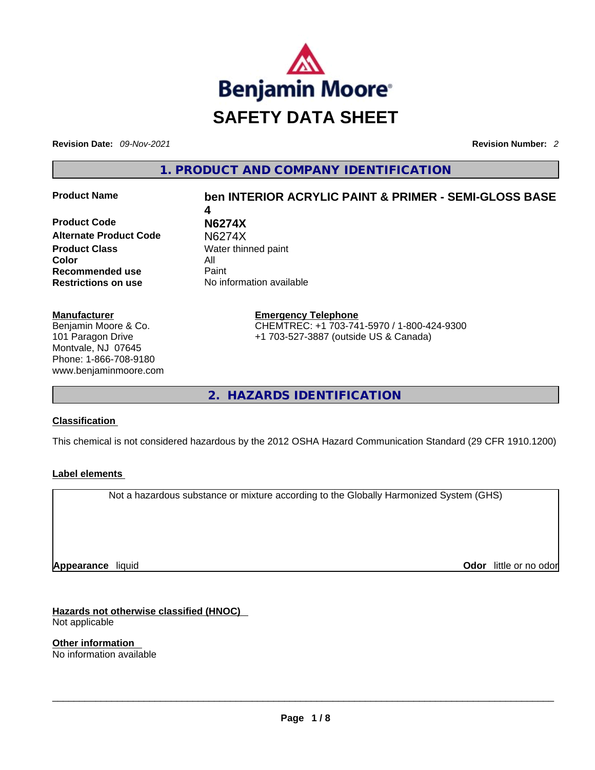

**Revision Date:** *09-Nov-2021* **Revision Number:** *2*

**1. PRODUCT AND COMPANY IDENTIFICATION** 

**Product Code N6274X Alternate Product Code** N6274X **Product Class Water thinned paint Color** All **Recommended use** Paint **Restrictions on use** No information available

# **Product Name ben INTERIOR ACRYLIC PAINT & PRIMER - SEMI-GLOSS BASE 4**

**Manufacturer** Benjamin Moore & Co. 101 Paragon Drive Montvale, NJ 07645 Phone: 1-866-708-9180 www.benjaminmoore.com

**Emergency Telephone** CHEMTREC: +1 703-741-5970 / 1-800-424-9300 +1 703-527-3887 (outside US & Canada)

**2. HAZARDS IDENTIFICATION** 

### **Classification**

This chemical is not considered hazardous by the 2012 OSHA Hazard Communication Standard (29 CFR 1910.1200)

### **Label elements**

Not a hazardous substance or mixture according to the Globally Harmonized System (GHS)

**Appearance** liquid

**Odor** little or no odor

**Hazards not otherwise classified (HNOC)**  Not applicable

**Other information**  No information available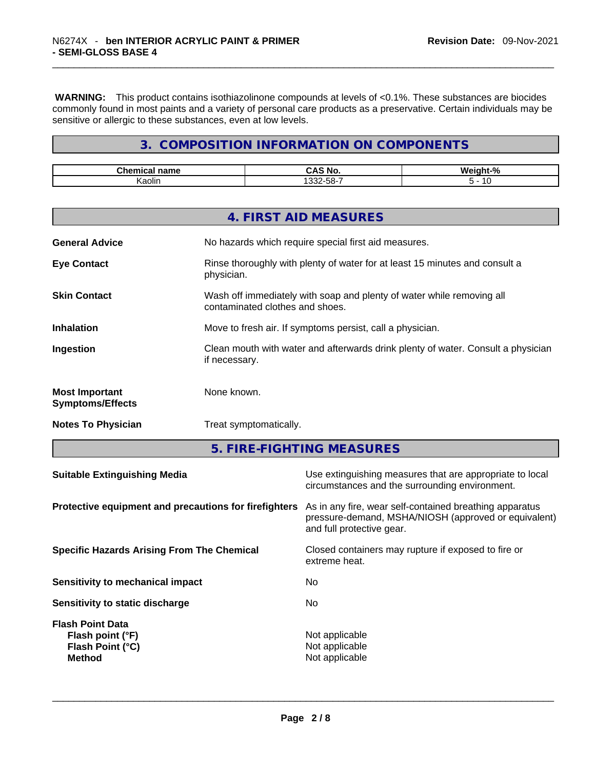**WARNING:** This product contains isothiazolinone compounds at levels of <0.1%. These substances are biocides commonly found in most paints and a variety of personal care products as a preservative. Certain individuals may be sensitive or allergic to these substances, even at low levels.

# **3. COMPOSITION INFORMATION ON COMPONENTS**

| name<br>.  | NC                                      | <b>M</b><br>-07<br>70 |
|------------|-----------------------------------------|-----------------------|
| <br>Kaolir | -<br>$ \sim$<br>$- - -$<br>၁၀-<br>-3325 | . .                   |

| 4. FIRST AID MEASURES                                                          |                                                                                  |
|--------------------------------------------------------------------------------|----------------------------------------------------------------------------------|
| No hazards which require special first aid measures.<br><b>General Advice</b>  |                                                                                  |
| <b>Eye Contact</b><br>physician.                                               | Rinse thoroughly with plenty of water for at least 15 minutes and consult a      |
| <b>Skin Contact</b><br>contaminated clothes and shoes.                         | Wash off immediately with soap and plenty of water while removing all            |
| Move to fresh air. If symptoms persist, call a physician.<br><b>Inhalation</b> |                                                                                  |
| Ingestion<br>if necessary.                                                     | Clean mouth with water and afterwards drink plenty of water. Consult a physician |
| None known.<br><b>Most Important</b><br><b>Symptoms/Effects</b>                |                                                                                  |
| <b>Notes To Physician</b><br>Treat symptomatically.                            |                                                                                  |

**5. FIRE-FIGHTING MEASURES** 

| Protective equipment and precautions for firefighters<br>As in any fire, wear self-contained breathing apparatus<br>pressure-demand, MSHA/NIOSH (approved or equivalent)<br>and full protective gear.<br>Closed containers may rupture if exposed to fire or<br>extreme heat.<br>No.<br>No.<br>Not applicable<br>Not applicable<br>Not applicable |
|---------------------------------------------------------------------------------------------------------------------------------------------------------------------------------------------------------------------------------------------------------------------------------------------------------------------------------------------------|
|                                                                                                                                                                                                                                                                                                                                                   |
|                                                                                                                                                                                                                                                                                                                                                   |
|                                                                                                                                                                                                                                                                                                                                                   |
|                                                                                                                                                                                                                                                                                                                                                   |
|                                                                                                                                                                                                                                                                                                                                                   |
|                                                                                                                                                                                                                                                                                                                                                   |
|                                                                                                                                                                                                                                                                                                                                                   |
|                                                                                                                                                                                                                                                                                                                                                   |
|                                                                                                                                                                                                                                                                                                                                                   |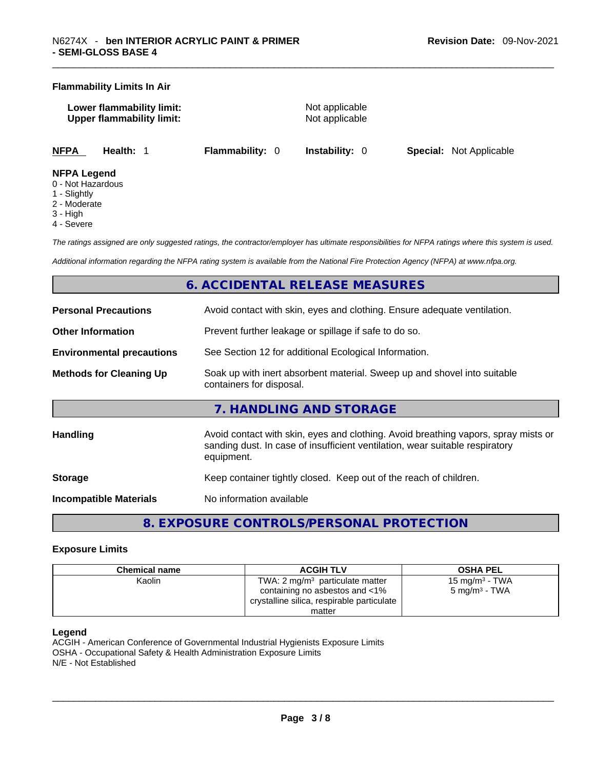#### **Flammability Limits In Air**

| Lower flammability limit:        | Not applicable |
|----------------------------------|----------------|
| <b>Upper flammability limit:</b> | Not applicable |
|                                  |                |

**NFPA Health:** 1 **Flammability:** 0 **Instability:** 0 **Special:** Not Applicable

#### **NFPA Legend**

- 0 Not Hazardous
- 1 Slightly
- 2 Moderate
- 3 High
- 4 Severe

*The ratings assigned are only suggested ratings, the contractor/employer has ultimate responsibilities for NFPA ratings where this system is used.* 

*Additional information regarding the NFPA rating system is available from the National Fire Protection Agency (NFPA) at www.nfpa.org.* 

# **6. ACCIDENTAL RELEASE MEASURES**

| <b>Personal Precautions</b>      | Avoid contact with skin, eyes and clothing. Ensure adequate ventilation.                                                                                                         |
|----------------------------------|----------------------------------------------------------------------------------------------------------------------------------------------------------------------------------|
| <b>Other Information</b>         | Prevent further leakage or spillage if safe to do so.                                                                                                                            |
| <b>Environmental precautions</b> | See Section 12 for additional Ecological Information.                                                                                                                            |
| <b>Methods for Cleaning Up</b>   | Soak up with inert absorbent material. Sweep up and shovel into suitable<br>containers for disposal.                                                                             |
|                                  | 7. HANDLING AND STORAGE                                                                                                                                                          |
| Handling                         | Avoid contact with skin, eyes and clothing. Avoid breathing vapors, spray mists or<br>sanding dust. In case of insufficient ventilation, wear suitable respiratory<br>equipment. |
| <b>Storage</b>                   | Keep container tightly closed. Keep out of the reach of children.                                                                                                                |
| <b>Incompatible Materials</b>    | No information available                                                                                                                                                         |

# **8. EXPOSURE CONTROLS/PERSONAL PROTECTION**

#### **Exposure Limits**

| <b>Chemical name</b> | <b>ACGIH TLV</b>                           | <b>OSHA PEL</b>            |
|----------------------|--------------------------------------------|----------------------------|
| Kaolin               | TWA: $2 \text{ mg/m}^3$ particulate matter | 15 mg/m <sup>3</sup> - TWA |
|                      | containing no asbestos and <1%             | 5 mg/m $3$ - TWA           |
|                      | crystalline silica, respirable particulate |                            |
|                      | matter                                     |                            |

#### **Legend**

ACGIH - American Conference of Governmental Industrial Hygienists Exposure Limits OSHA - Occupational Safety & Health Administration Exposure Limits N/E - Not Established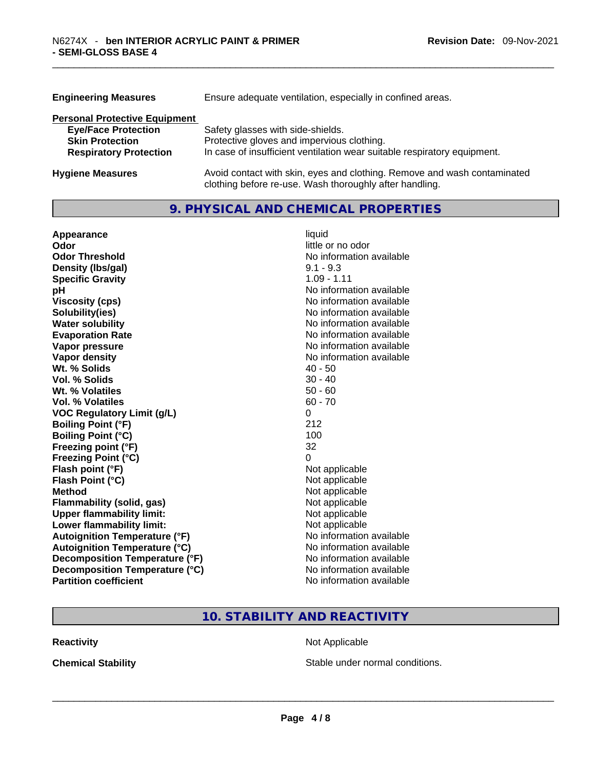| <b>Engineering Measures</b>          | Ensure adequate ventilation, especially in confined areas.                                                                          |  |  |
|--------------------------------------|-------------------------------------------------------------------------------------------------------------------------------------|--|--|
| <b>Personal Protective Equipment</b> |                                                                                                                                     |  |  |
| <b>Eye/Face Protection</b>           | Safety glasses with side-shields.                                                                                                   |  |  |
| <b>Skin Protection</b>               | Protective gloves and impervious clothing.                                                                                          |  |  |
| <b>Respiratory Protection</b>        | In case of insufficient ventilation wear suitable respiratory equipment.                                                            |  |  |
| <b>Hygiene Measures</b>              | Avoid contact with skin, eyes and clothing. Remove and wash contaminated<br>clothing before re-use. Wash thoroughly after handling. |  |  |

# **9. PHYSICAL AND CHEMICAL PROPERTIES**

| Appearance                           | liquid                   |
|--------------------------------------|--------------------------|
| Odor                                 | little or no odor        |
| <b>Odor Threshold</b>                | No information available |
| Density (Ibs/gal)                    | $9.1 - 9.3$              |
| <b>Specific Gravity</b>              | $1.09 - 1.11$            |
| рH                                   | No information available |
| <b>Viscosity (cps)</b>               | No information available |
| Solubility(ies)                      | No information available |
| <b>Water solubility</b>              | No information available |
| <b>Evaporation Rate</b>              | No information available |
| Vapor pressure                       | No information available |
| Vapor density                        | No information available |
| Wt. % Solids                         | $40 - 50$                |
| Vol. % Solids                        | $30 - 40$                |
| Wt. % Volatiles                      | $50 - 60$                |
| Vol. % Volatiles                     | $60 - 70$                |
| <b>VOC Regulatory Limit (g/L)</b>    | 0                        |
| <b>Boiling Point (°F)</b>            | 212                      |
| <b>Boiling Point (°C)</b>            | 100                      |
| Freezing point (°F)                  | 32                       |
| <b>Freezing Point (°C)</b>           | 0                        |
| Flash point (°F)                     | Not applicable           |
| Flash Point (°C)                     | Not applicable           |
| <b>Method</b>                        | Not applicable           |
| <b>Flammability (solid, gas)</b>     | Not applicable           |
| <b>Upper flammability limit:</b>     | Not applicable           |
| <b>Lower flammability limit:</b>     | Not applicable           |
| <b>Autoignition Temperature (°F)</b> | No information available |
| <b>Autoignition Temperature (°C)</b> | No information available |
| Decomposition Temperature (°F)       | No information available |
| Decomposition Temperature (°C)       | No information available |
| <b>Partition coefficient</b>         | No information available |

# **10. STABILITY AND REACTIVITY**

**Reactivity Not Applicable Not Applicable** 

**Chemical Stability Stable under normal conditions. Chemical Stability Stable under normal conditions. Chemical Stability Chemical Stability Chemical Stability Chemical Stability Chemical Stability Chemic**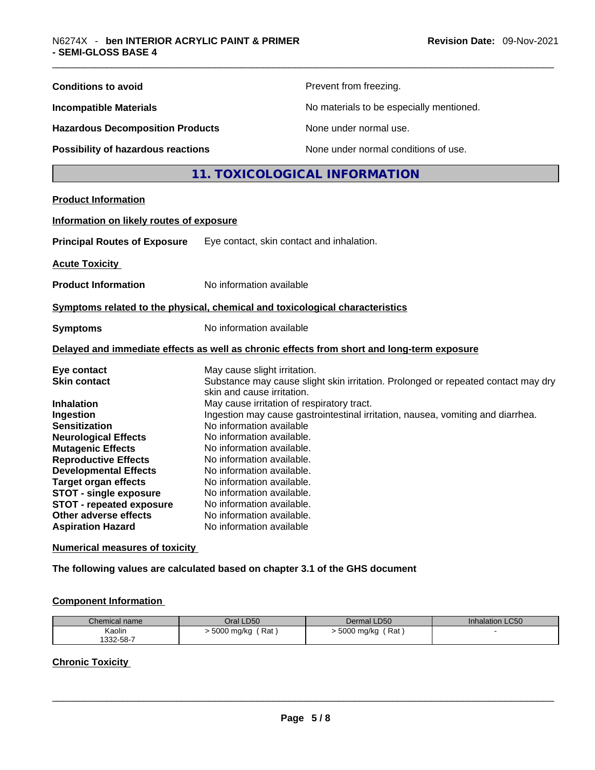| <b>Conditions to avoid</b>                                                                                                                                                                                                                                                                                                                         | Prevent from freezing.                                                                                                                                                                                                                                                                                                                                                                                                                                                                                                                               |  |
|----------------------------------------------------------------------------------------------------------------------------------------------------------------------------------------------------------------------------------------------------------------------------------------------------------------------------------------------------|------------------------------------------------------------------------------------------------------------------------------------------------------------------------------------------------------------------------------------------------------------------------------------------------------------------------------------------------------------------------------------------------------------------------------------------------------------------------------------------------------------------------------------------------------|--|
| <b>Incompatible Materials</b>                                                                                                                                                                                                                                                                                                                      | No materials to be especially mentioned.                                                                                                                                                                                                                                                                                                                                                                                                                                                                                                             |  |
| <b>Hazardous Decomposition Products</b>                                                                                                                                                                                                                                                                                                            | None under normal use.                                                                                                                                                                                                                                                                                                                                                                                                                                                                                                                               |  |
| Possibility of hazardous reactions                                                                                                                                                                                                                                                                                                                 | None under normal conditions of use.                                                                                                                                                                                                                                                                                                                                                                                                                                                                                                                 |  |
|                                                                                                                                                                                                                                                                                                                                                    | 11. TOXICOLOGICAL INFORMATION                                                                                                                                                                                                                                                                                                                                                                                                                                                                                                                        |  |
| <b>Product Information</b>                                                                                                                                                                                                                                                                                                                         |                                                                                                                                                                                                                                                                                                                                                                                                                                                                                                                                                      |  |
| Information on likely routes of exposure                                                                                                                                                                                                                                                                                                           |                                                                                                                                                                                                                                                                                                                                                                                                                                                                                                                                                      |  |
| <b>Principal Routes of Exposure</b>                                                                                                                                                                                                                                                                                                                | Eye contact, skin contact and inhalation.                                                                                                                                                                                                                                                                                                                                                                                                                                                                                                            |  |
| <b>Acute Toxicity</b>                                                                                                                                                                                                                                                                                                                              |                                                                                                                                                                                                                                                                                                                                                                                                                                                                                                                                                      |  |
| <b>Product Information</b>                                                                                                                                                                                                                                                                                                                         | No information available                                                                                                                                                                                                                                                                                                                                                                                                                                                                                                                             |  |
|                                                                                                                                                                                                                                                                                                                                                    | Symptoms related to the physical, chemical and toxicological characteristics                                                                                                                                                                                                                                                                                                                                                                                                                                                                         |  |
| <b>Symptoms</b>                                                                                                                                                                                                                                                                                                                                    | No information available                                                                                                                                                                                                                                                                                                                                                                                                                                                                                                                             |  |
|                                                                                                                                                                                                                                                                                                                                                    | Delayed and immediate effects as well as chronic effects from short and long-term exposure                                                                                                                                                                                                                                                                                                                                                                                                                                                           |  |
| Eye contact<br><b>Skin contact</b><br><b>Inhalation</b><br>Ingestion<br><b>Sensitization</b><br><b>Neurological Effects</b><br><b>Mutagenic Effects</b><br><b>Reproductive Effects</b><br><b>Developmental Effects</b><br><b>Target organ effects</b><br><b>STOT - single exposure</b><br><b>STOT - repeated exposure</b><br>Other adverse effects | May cause slight irritation.<br>Substance may cause slight skin irritation. Prolonged or repeated contact may dry<br>skin and cause irritation.<br>May cause irritation of respiratory tract.<br>Ingestion may cause gastrointestinal irritation, nausea, vomiting and diarrhea.<br>No information available<br>No information available.<br>No information available.<br>No information available.<br>No information available.<br>No information available.<br>No information available.<br>No information available.<br>No information available. |  |
| <b>Aspiration Hazard</b><br><b>Numerical measures of toxicity</b>                                                                                                                                                                                                                                                                                  | No information available                                                                                                                                                                                                                                                                                                                                                                                                                                                                                                                             |  |
|                                                                                                                                                                                                                                                                                                                                                    |                                                                                                                                                                                                                                                                                                                                                                                                                                                                                                                                                      |  |

**The following values are calculated based on chapter 3.1 of the GHS document**

# **Component Information**

| Chemical name | Oral LD50  | Dermal LD50  | <b>Inhalation LC50</b> |
|---------------|------------|--------------|------------------------|
| Kaolin        | , Rat :    | Rat          |                        |
| 332-58-7      | 5000 mg/kg | ∙ 5000 mg/kg |                        |

# **Chronic Toxicity**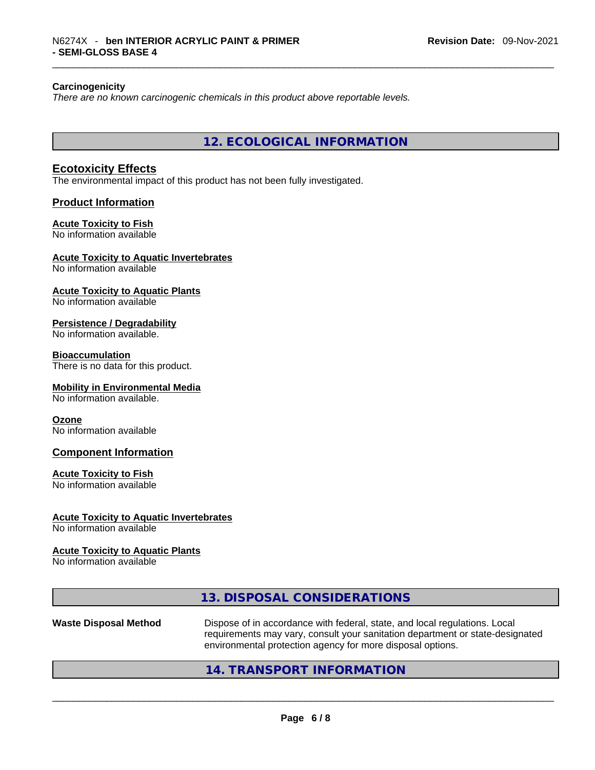#### **Carcinogenicity**

*There are no known carcinogenic chemicals in this product above reportable levels.* 

**12. ECOLOGICAL INFORMATION** 

#### **Ecotoxicity Effects**

The environmental impact of this product has not been fully investigated.

#### **Product Information**

#### **Acute Toxicity to Fish**

No information available

#### **Acute Toxicity to Aquatic Invertebrates**

No information available

# **Acute Toxicity to Aquatic Plants**

No information available

#### **Persistence / Degradability**

No information available.

#### **Bioaccumulation**

There is no data for this product.

#### **Mobility in Environmental Media**

No information available.

#### **Ozone**

No information available

#### **Component Information**

#### **Acute Toxicity to Fish**

No information available

#### **Acute Toxicity to Aquatic Invertebrates**

No information available

#### **Acute Toxicity to Aquatic Plants**

No information available

# **13. DISPOSAL CONSIDERATIONS**

**Waste Disposal Method** Dispose of in accordance with federal, state, and local regulations. Local requirements may vary, consult your sanitation department or state-designated environmental protection agency for more disposal options.<br>214. TRANSPORT INFORMATION

### **14. TRANSPORT INFORMATION**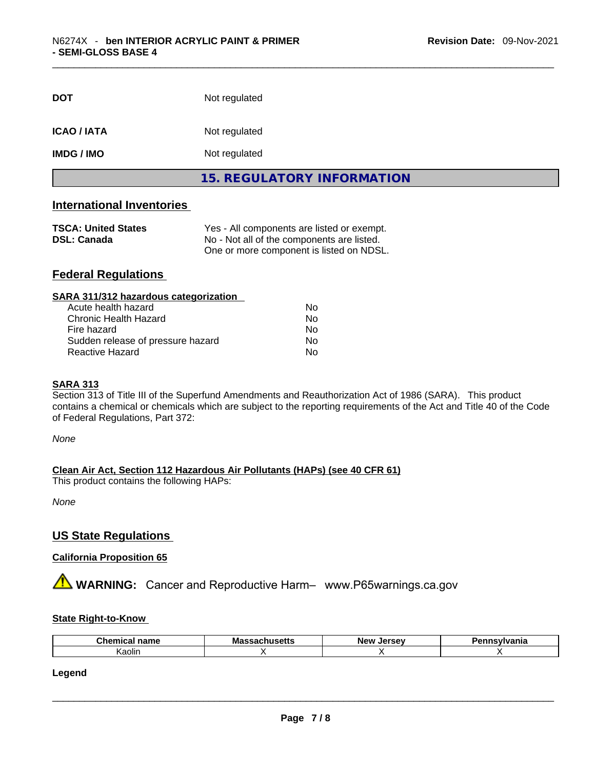| <b>DOT</b>         | Not regulated                     |  |
|--------------------|-----------------------------------|--|
| <b>ICAO / IATA</b> | Not regulated                     |  |
| <b>IMDG / IMO</b>  | Not regulated                     |  |
|                    | <b>15. REGULATORY INFORMATION</b> |  |

# **International Inventories**

| <b>TSCA: United States</b> | Yes - All components are listed or exempt. |
|----------------------------|--------------------------------------------|
| <b>DSL: Canada</b>         | No - Not all of the components are listed. |
|                            | One or more component is listed on NDSL.   |

# **Federal Regulations**

| Nο |  |
|----|--|
| No |  |
| No |  |
| Nο |  |
| No |  |
|    |  |

## **SARA 313**

Section 313 of Title III of the Superfund Amendments and Reauthorization Act of 1986 (SARA). This product contains a chemical or chemicals which are subject to the reporting requirements of the Act and Title 40 of the Code of Federal Regulations, Part 372:

*None*

**Clean Air Act,Section 112 Hazardous Air Pollutants (HAPs) (see 40 CFR 61)**

This product contains the following HAPs:

*None*

### **US State Regulations**

### **California Proposition 65**

**AVIMARNING:** Cancer and Reproductive Harm– www.P65warnings.ca.gov

#### **State Right-to-Know**

| Chemical<br><b>nomo</b><br>ारिताहि | <b>Mass</b><br><b>chucatte</b><br>ເວຕເເວ<br>. | Jersev<br>New | าnsvlvania |
|------------------------------------|-----------------------------------------------|---------------|------------|
| aolin                              |                                               |               |            |

**Legend**